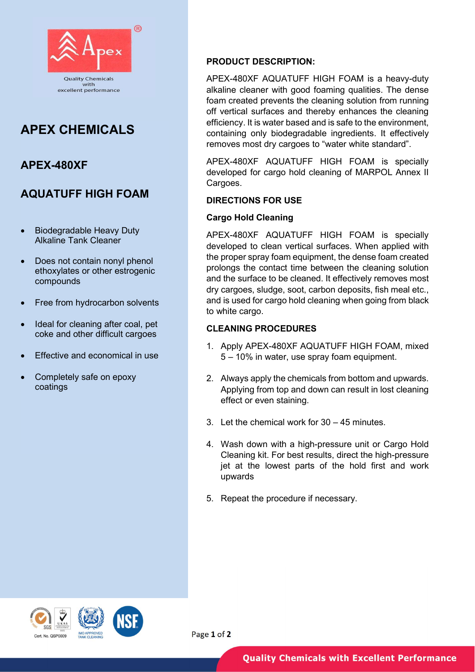

# APEX CHEMICALS

## APEX-480XF

## AQUATUFF HIGH FOAM

- Biodegradable Heavy Duty Alkaline Tank Cleaner
- Does not contain nonyl phenol ethoxylates or other estrogenic compounds
- Free from hydrocarbon solvents
- Ideal for cleaning after coal, pet coke and other difficult cargoes
- **Effective and economical in use**
- Completely safe on epoxy coatings

### PRODUCT DESCRIPTION:

APEX-480XF AQUATUFF HIGH FOAM is a heavy-duty alkaline cleaner with good foaming qualities. The dense foam created prevents the cleaning solution from running off vertical surfaces and thereby enhances the cleaning efficiency. It is water based and is safe to the environment, containing only biodegradable ingredients. It effectively removes most dry cargoes to "water white standard".

APEX-480XF AQUATUFF HIGH FOAM is specially developed for cargo hold cleaning of MARPOL Annex II Cargoes.

#### DIRECTIONS FOR USE

#### Cargo Hold Cleaning

APEX-480XF AQUATUFF HIGH FOAM is specially developed to clean vertical surfaces. When applied with the proper spray foam equipment, the dense foam created prolongs the contact time between the cleaning solution and the surface to be cleaned. It effectively removes most dry cargoes, sludge, soot, carbon deposits, fish meal etc., and is used for cargo hold cleaning when going from black to white cargo.

### CLEANING PROCEDURES

- 1. Apply APEX-480XF AQUATUFF HIGH FOAM, mixed 5 – 10% in water, use spray foam equipment.
- 2. Always apply the chemicals from bottom and upwards. Applying from top and down can result in lost cleaning effect or even staining.
- 3. Let the chemical work for 30 45 minutes.
- 4. Wash down with a high-pressure unit or Cargo Hold Cleaning kit. For best results, direct the high-pressure jet at the lowest parts of the hold first and work upwards
- 5. Repeat the procedure if necessary.





Page 1 of 2